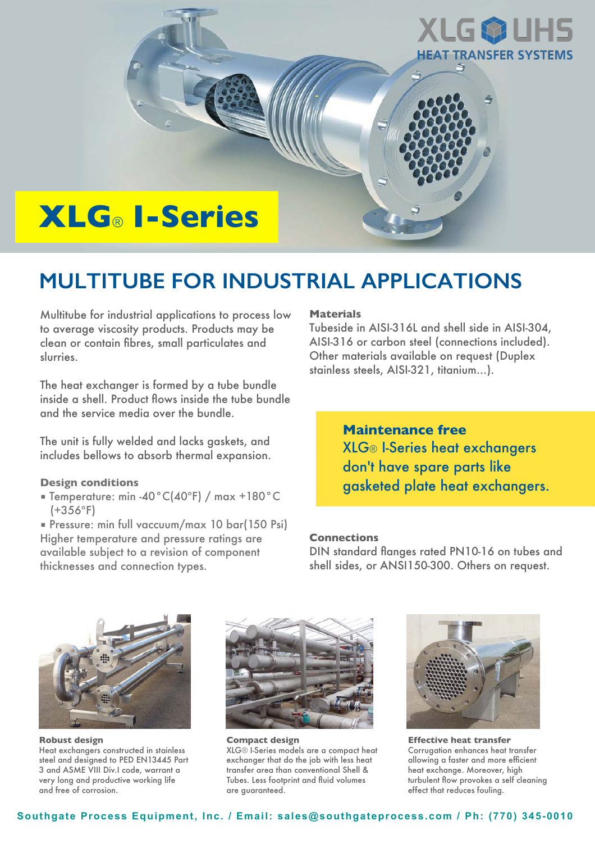

# **MULTITUBE FOR INDUSTRIAL APPLICATIONS**

Multitube for industrial applications to process low to average viscosity products. Products may be clean or contain fibres, small particulates and slurries.

The heat exchanger is formed by a tube bundle inside a shell. Product flows inside the tube bundle and the service media over the bundle.

The unit is fully welded and lacks gaskets, and includes bellows to absorb thermal expansion.

## **Design conditions**

■ Temperature: min -40°C(40ºF) / max +180°C  $(+356°F)$ 

■ Pressure: min full vaccuum/max 10 bar(150 Psi) Higher temperature and pressure ratings are available subject to a revision of component thicknesses and connection types.

# **Materials**

Tubeside in AISI-316L and shell side in AISI-304, AISI-316 or carbon steel (connections included). Other materials available on request (Duplex stainless steels, AISI-321, titanium…).

> **Maintenance free** XLG® I-Series heat exchangers don't have spare parts like gasketed plate heat exchangers.

## **Connections**

DIN standard flanges rated PN10-16 on tubes and shell sides, or ANSI150-300. Others on request.



**Robust design** Heat exchangers constructed in stainless steel and designed to PED EN13445 Part 3 and ASME VIII Div.I code, warrant a very long and productive working life and free of corrosion.



**Compact design** XLG® I-Series models are a compact heat exchanger that do the job with less heat transfer area than conventional Shell & Tubes. Less footprint and fluid volumes are guaranteed.



**Effective heat transfer** Corrugation enhances heat transfer allowing a faster and more efficient heat exchange. Moreover, high turbulent flow provokes a self cleaning effect that reduces fouling.